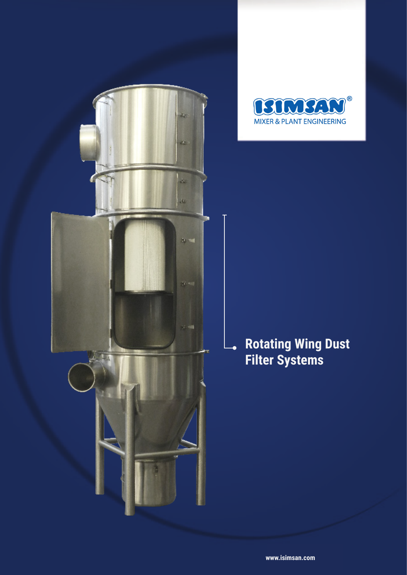

![](_page_0_Picture_1.jpeg)

## **Rotating Wing Dust Filter Systems**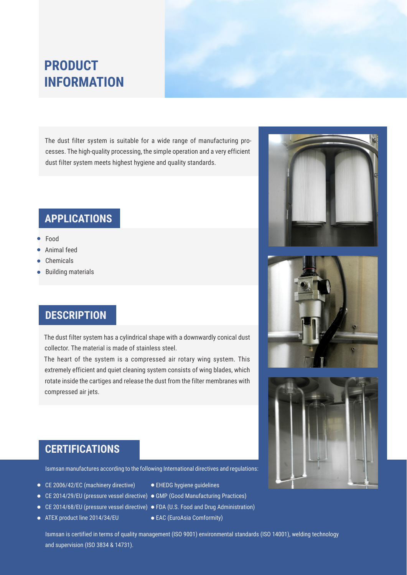## **PRODUCT INFORMATION**

The dust filter system is suitable for a wide range of manufacturing processes. The high-quality processing, the simple operation and a very efficient dust filter system meets highest hygiene and quality standards.

### **APPLICATIONS**

- Food
- Animal feed
- Chemicals
- Building materials

#### **DESCRIPTION**

The dust filter system has a cylindrical shape with a downwardly conical dust collector. The material is made of stainless steel.

The heart of the system is a compressed air rotary wing system. This extremely efficient and quiet cleaning system consists of wing blades, which rotate inside the cartiges and release the dust from the filter membranes with compressed air jets.

![](_page_1_Picture_10.jpeg)

![](_page_1_Picture_11.jpeg)

![](_page_1_Picture_12.jpeg)

#### **CERTIFICATIONS**

Isımsan manufactures according to the following International directives and regulations:

- CE 2006/42/EC (machinery directive)
- CE 2014/29/EU (pressure vessel directive) GMP (Good Manufacturing Practices)
- 
- ATEX product line 2014/34/EU
- EHEDG hygiene guidelines
- 
- CE 2014/68/EU (pressure vessel directive) FDA (U.S. Food and Drug Administration)
	- EAC (EuroAsia Comformity)

Isımsan is certified in terms of quality management (ISO 9001) environmental standards (ISO 14001), welding technology and supervision (ISO 3834 & 14731).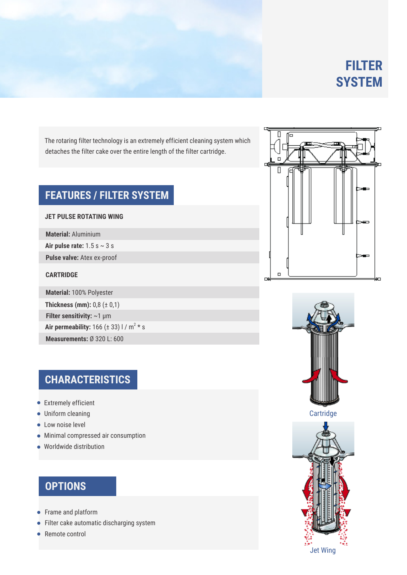# **FILTER SYSTEM**

The rotaring filter technology is an extremely efficient cleaning system which detaches the filter cake over the entire length of the filter cartridge.

### **FEATURES / FILTER SYSTEM**

#### **JET PULSE ROTATING WING**

**Material:** Aluminium

**Air pulse rate:** 1.5 s ~ 3 s

**Pulse valve:** Atex ex-proof

#### **CARTRIDGE**

**Measurements:** Ø 320 L: 600 **Air permeability:**  $166 (\pm 33)$  l / m<sup>2</sup>  $*$  s **Filter sensitivity:** ~1 μm **Thickness (mm):** 0,8 (± 0,1) **Material:** 100% Polyester

## **CHARACTERISTICS**

- **•** Extremely efficient
- Uniform cleaning
- **Low noise level**
- Minimal compressed air consumption
- Worldwide distribution

## **OPTIONS**

- Frame and platform
- **•** Filter cake automatic discharging system
- Remote control

![](_page_2_Figure_19.jpeg)

![](_page_2_Picture_20.jpeg)

![](_page_2_Picture_21.jpeg)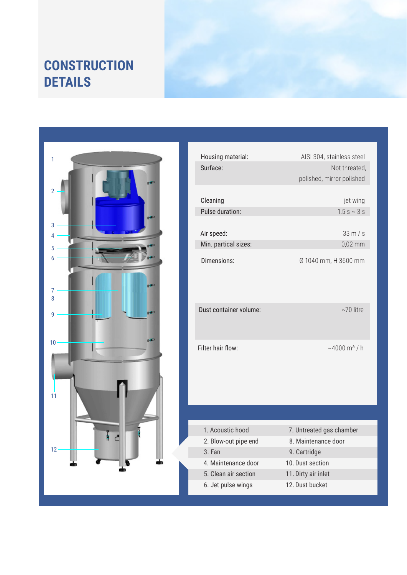## **CONSTRUCTION DETAILS**

![](_page_3_Picture_1.jpeg)

| Housing material:      | AISI 304, stainless steel          |
|------------------------|------------------------------------|
| Surface:               | Not threated,                      |
|                        | polished, mirror polished          |
|                        |                                    |
| Cleaning               | jet wing                           |
| Pulse duration:        | $1.5 s \sim 3 s$                   |
|                        |                                    |
| Air speed:             | 33 m/s                             |
| Min. partical sizes:   | $0,02$ mm                          |
| Dimensions:            | Ø 1040 mm, H 3600 mm               |
| Dust container volume: | $~10$ litre                        |
| Filter hair flow:      | $~1000 \, \text{m}^{\text{a}}$ / h |
|                        |                                    |
| 1. Acoustic hood       | 7. Untreated gas chamber           |
| 2. Blow-out pipe end   | 8. Maintenance door                |
| 3. Fan                 | 9. Cartridge                       |
| 4. Maintenance door    | 10. Dust section                   |
| 5. Clean air section   | 11. Dirty air inlet                |
| 6. Jet pulse wings     | 12. Dust bucket                    |